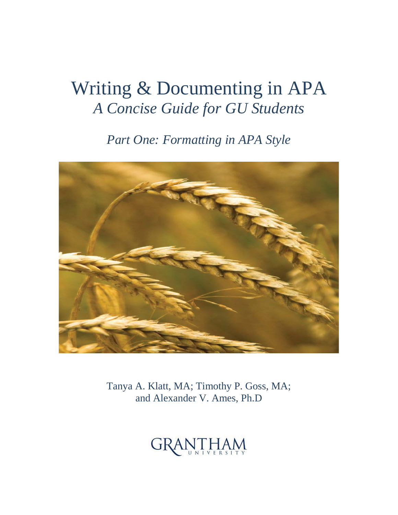## Writing & Documenting in APA *A Concise Guide for GU Students*

*Part One: Formatting in APA Style* 



Tanya A. Klatt, MA; Timothy P. Goss, MA; and Alexander V. Ames, Ph.D

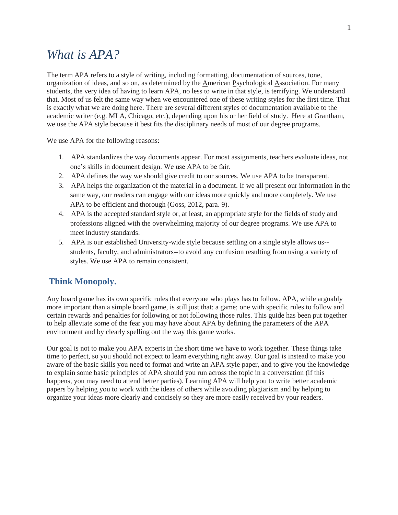### *What is APA?*

The term APA refers to a style of writing, including formatting, documentation of sources, tone, organization of ideas, and so on, as determined by the American Psychological Association. For many students, the very idea of having to learn APA, no less to write in that style, is terrifying. We understand that. Most of us felt the same way when we encountered one of these writing styles for the first time. That is exactly what we are doing here. There are several different styles of documentation available to the academic writer (e.g. MLA, Chicago, etc.), depending upon his or her field of study. Here at Grantham, we use the APA style because it best fits the disciplinary needs of most of our degree programs.

We use APA for the following reasons:

- 1. APA standardizes the way documents appear. For most assignments, teachers evaluate ideas, not one's skills in document design. We use APA to be fair.
- 2. APA defines the way we should give credit to our sources. We use APA to be transparent.
- 3. APA helps the organization of the material in a document. If we all present our information in the same way, our readers can engage with our ideas more quickly and more completely. We use APA to be efficient and thorough (Goss, 2012, para. 9).
- 4. APA is the accepted standard style or, at least, an appropriate style for the fields of study and professions aligned with the overwhelming majority of our degree programs. We use APA to meet industry standards.
- 5. APA is our established University-wide style because settling on a single style allows us- students, faculty, and administrators--to avoid any confusion resulting from using a variety of styles. We use APA to remain consistent.

#### **Think Monopoly.**

Any board game has its own specific rules that everyone who plays has to follow. APA, while arguably more important than a simple board game, is still just that: a game; one with specific rules to follow and certain rewards and penalties for following or not following those rules. This guide has been put together to help alleviate some of the fear you may have about APA by defining the parameters of the APA environment and by clearly spelling out the way this game works.

Our goal is not to make you APA experts in the short time we have to work together. These things take time to perfect, so you should not expect to learn everything right away. Our goal is instead to make you aware of the basic skills you need to format and write an APA style paper, and to give you the knowledge to explain some basic principles of APA should you run across the topic in a conversation (if this happens, you may need to attend better parties). Learning APA will help you to write better academic papers by helping you to work with the ideas of others while avoiding plagiarism and by helping to organize your ideas more clearly and concisely so they are more easily received by your readers.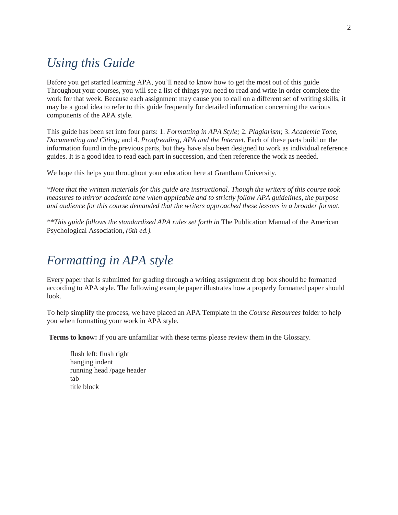## *Using this Guide*

Before you get started learning APA, you'll need to know how to get the most out of this guide Throughout your courses, you will see a list of things you need to read and write in order complete the work for that week. Because each assignment may cause you to call on a different set of writing skills, it may be a good idea to refer to this guide frequently for detailed information concerning the various components of the APA style.

This guide has been set into four parts: 1. *Formatting in APA Style;* 2. *Plagiarism;* 3. *Academic Tone, Documenting and Citing;* and 4. *Proofreading, APA and the Internet.* Each of these parts build on the information found in the previous parts, but they have also been designed to work as individual reference guides. It is a good idea to read each part in succession, and then reference the work as needed.

We hope this helps you throughout your education here at Grantham University.

*\*Note that the written materials for this guide are instructional. Though the writers of this course took measures to mirror academic tone when applicable and to strictly follow APA guidelines, the purpose and audience for this course demanded that the writers approached these lessons in a broader format.* 

*\*\*This guide follows the standardized APA rules set forth in* The Publication Manual of the American Psychological Association*, (6th ed.).* 

## *Formatting in APA style*

Every paper that is submitted for grading through a writing assignment drop box should be formatted according to APA style. The following example paper illustrates how a properly formatted paper should look.

To help simplify the process, we have placed an APA Template in the *Course Resources* folder to help you when formatting your work in APA style.

**Terms to know:** If you are unfamiliar with these terms please review them in the Glossary.

flush left: flush right hanging indent running head /page header tab title block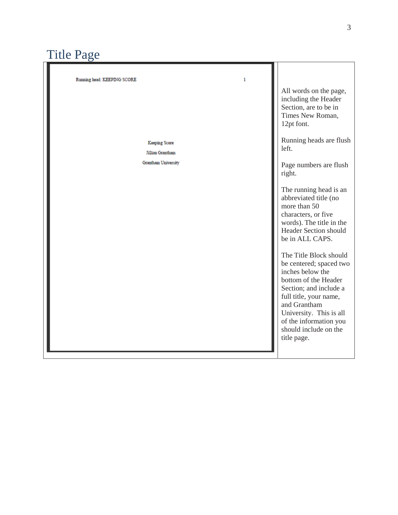## Title Page

| Running head: KEEPING SCORE<br>1         |                                                                                                                                                                                                                                                                |
|------------------------------------------|----------------------------------------------------------------------------------------------------------------------------------------------------------------------------------------------------------------------------------------------------------------|
|                                          | All words on the page,<br>including the Header<br>Section, are to be in<br>Times New Roman,<br>12pt font.                                                                                                                                                      |
| Keeping Score<br><b>Jillian Grantham</b> | Running heads are flush<br>left.                                                                                                                                                                                                                               |
| <b>Grantham University</b>               | Page numbers are flush<br>right.                                                                                                                                                                                                                               |
|                                          | The running head is an<br>abbreviated title (no<br>more than 50<br>characters, or five<br>words). The title in the<br><b>Header Section should</b><br>be in ALL CAPS.                                                                                          |
|                                          | The Title Block should<br>be centered; spaced two<br>inches below the<br>bottom of the Header<br>Section; and include a<br>full title, your name,<br>and Grantham<br>University. This is all<br>of the information you<br>should include on the<br>title page. |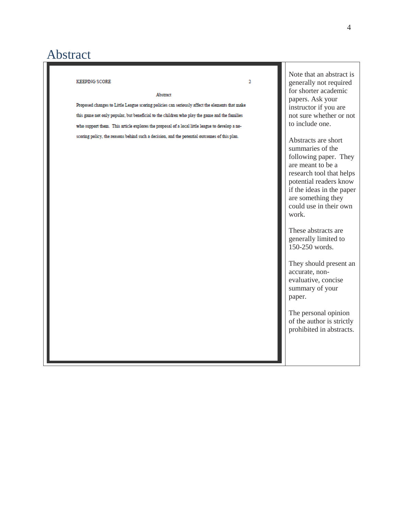## Abstract

| <b>KEEPING SCORE</b><br>Abstract<br>Proposed changes to Little League scoring policies can seriously affect the elements that make                                                              | $\overline{\mathbf{2}}$ | Note that an abstract is<br>generally not required<br>for shorter academic<br>papers. Ask your<br>instructor if you are                                                                                                                                                                                                                                                                                                                                 |
|-------------------------------------------------------------------------------------------------------------------------------------------------------------------------------------------------|-------------------------|---------------------------------------------------------------------------------------------------------------------------------------------------------------------------------------------------------------------------------------------------------------------------------------------------------------------------------------------------------------------------------------------------------------------------------------------------------|
| this game not only popular, but beneficial to the children who play the game and the families<br>who support them. This article explores the proposal of a local little league to develop a no- |                         | not sure whether or not<br>to include one.                                                                                                                                                                                                                                                                                                                                                                                                              |
| scoring policy, the reasons behind such a decision, and the potential outcomes of this plan.                                                                                                    |                         | Abstracts are short<br>summaries of the<br>following paper. They<br>are meant to be a<br>research tool that helps<br>potential readers know<br>if the ideas in the paper<br>are something they<br>could use in their own<br>work.<br>These abstracts are<br>generally limited to<br>150-250 words.<br>They should present an<br>accurate, non-<br>evaluative, concise<br>summary of your<br>paper.<br>The personal opinion<br>of the author is strictly |
|                                                                                                                                                                                                 |                         | prohibited in abstracts.                                                                                                                                                                                                                                                                                                                                                                                                                                |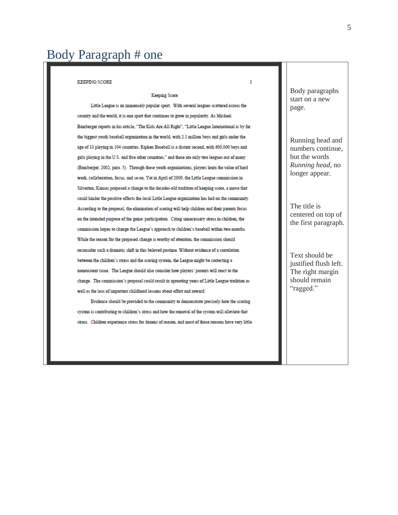## Body Paragraph # one

#### **KEEPING SCORE**

#### **Keeping Score**

Little League is an immensely popular sport. With several leagues scattered across the country and the world, it is one sport that continues to grow in popularity. As Michael Bamberger reports in his article, "The Kids Are All Right", "Little League International is by far the biggest youth baseball organization in the world, with 2.1 million boys and girls under the age of 13 playing in 104 countries. Ripken Baseball is a distant second, with 600,000 boys and girls playing in the U.S. and five other countries," and these are only two leagues out of many (Bamberger, 2002, para. 5). Through these youth organizations, players learn the value of hard work, collaboration, focus, and so on. Yet in April of 2009, the Little League commission in Silverton, Kansas proposed a change to the decades-old tradition of keeping score, a move that could hinder the positive effects the local Little League organization has had on the community. According to the proposal, the elimination of scoring will help children and their parents focus on the intended purpose of the game: participation. Citing unnecessary stress in children, the commission hopes to change the League's approach to children's baseball within two months. While the reason for the proposed change is worthy of attention, the commission should reconsider such a dramatic shift in this beloved pastime. Without evidence of a correlation between the children's stress and the scoring system, the League might be correcting a nonexistent issue. The League should also consider how players' parents will react to the change. The commission's proposal could result in uprooting years of Little League tradition as well as the loss of important childhood lessons about effort and reward.

Evidence should be provided to the community to demonstrate precisely how the scoring system is contributing to children's stress and how the removal of the system will alleviate that stress. Children experience stress for dozens of reason, and most of those reasons have very little

Body paragraphs start on a new page.

3

Running head and numbers continue, but the words *Running head,* no longer appear.

The title is centered on top of the first paragraph.

Text should be justified flush left. The right margin should remain "ragged."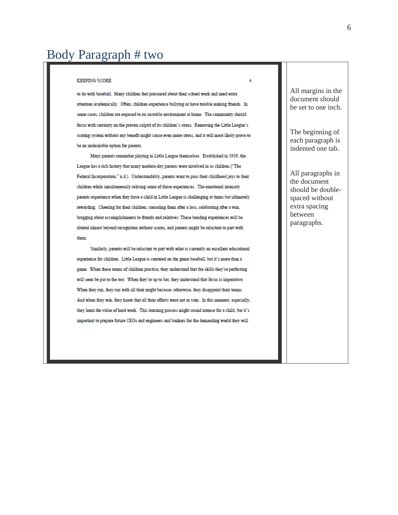#### **KEEPING SCORE**

to do with baseball. Many children feel pressured about their school work and need extra attention academically. Often, children experience bullying or have trouble making friends. In some cases, children are exposed to an unstable environment at home. The community should focus with certainty on the proven culprit of its children's stress. Removing the Little League's scoring system without any benefit might cause even more stress, and it will most likely prove to be an undesirable option for parents.

Many parents remember playing in Little League themselves. Established in 1939, the League has a rich history that many modern-day parents were involved in as children ("The Federal Incorporation," n.d.). Understandably, parents want to pass their childhood joys to their children while simultaneously reliving some of those experiences. The emotional intensity parents experience when they have a child in Little League is challenging at times but ultimately rewarding. Cheering for their children, consoling them after a loss, celebrating after a win, bragging about accomplishments to friends and relatives: These bonding experiences will be altered almost beyond recognition without scores, and parents might be reluctant to part with them.

Similarly, parents will be reluctant to part with what is currently an excellent educational experience for children. Little League is centered on the game baseball, but it's more than a game. When these teams of children practice, they understand that the skills they're perfecting will soon be put to the test. When they're up to bat, they understand that focus is imperative. When they run, they run with all their might because, otherwise, they disappoint their teams. And when they win, they know that all their efforts were not in vain. In this moment, especially, they learn the value of hard work. This learning process might sound intense for a child, but it's important to prepare future CEOs and engineers and bankers for the demanding world they will

All margins in the document should be set to one inch.

4

The beginning of each paragraph is indented one tab.

All paragraphs in the document should be doublespaced without extra spacing between paragraphs.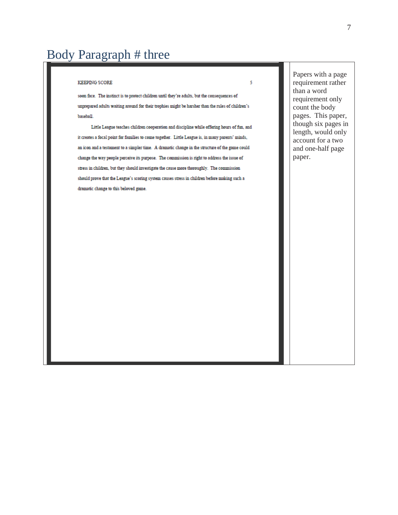## Body Paragraph # three

#### **KEEPING SCORE**

soon face. The instinct is to protect children until they're adults, but the consequences of unprepared adults waiting around for their trophies might be harsher than the rules of children's baseball.

Little League teaches children cooperation and discipline while offering hours of fun, and it creates a focal point for families to come together. Little League is, in many parents' minds, an icon and a testament to a simpler time. A dramatic change in the structure of the game could change the way people perceive its purpose. The commission is right to address the issue of stress in children, but they should investigate the cause more thoroughly. The commission should prove that the League's scoring system causes stress in children before making such a dramatic change to this beloved game.

Papers with a page requirement rather than a word requirement only count the body pages. This paper, though six pages in length, would only account for a two and one -half page paper.

5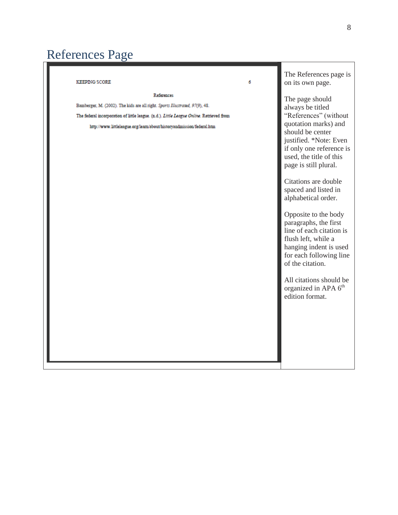# References Page

| <b>KEEPING SCORE</b><br>6                                                                                                                                                                                                                                              | The References page is<br>on its own page.                                                                                                                                                                                                                                                                                                                                                                                                                                                                                                               |  |
|------------------------------------------------------------------------------------------------------------------------------------------------------------------------------------------------------------------------------------------------------------------------|----------------------------------------------------------------------------------------------------------------------------------------------------------------------------------------------------------------------------------------------------------------------------------------------------------------------------------------------------------------------------------------------------------------------------------------------------------------------------------------------------------------------------------------------------------|--|
| <b>References</b><br>Bamberger, M. (2002). The kids are all right. Sports Illustrated, 97(9), 48.<br>The federal incorporation of little league. (n.d.). Little League Online. Retrieved from<br>http://www.littleleague.org/learn/about/historyandmission/federal.htm | The page should<br>always be titled<br>"References" (without<br>quotation marks) and<br>should be center<br>justified. *Note: Even<br>if only one reference is<br>used, the title of this<br>page is still plural.<br>Citations are double<br>spaced and listed in<br>alphabetical order.<br>Opposite to the body<br>paragraphs, the first<br>line of each citation is<br>flush left, while a<br>hanging indent is used<br>for each following line<br>of the citation.<br>All citations should be<br>organized in APA 6 <sup>th</sup><br>edition format. |  |
|                                                                                                                                                                                                                                                                        |                                                                                                                                                                                                                                                                                                                                                                                                                                                                                                                                                          |  |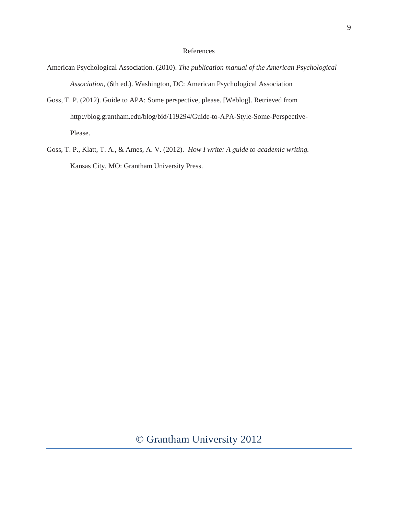#### References

- American Psychological Association. (2010). *The publication manual of the American Psychological Association,* (6th ed.). Washington, DC: American Psychological Association
- Goss, T. P. (2012). Guide to APA: Some perspective, please. [Weblog]. Retrieved from http://blog.grantham.edu/blog/bid/119294/Guide-to-APA-Style-Some-Perspective-Please.
- Goss, T. P., Klatt, T. A., & Ames, A. V. (2012). *How I write: A guide to academic writing.* Kansas City, MO: Grantham University Press.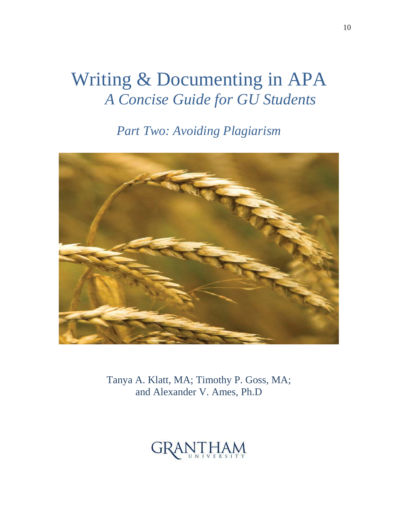## Writing & Documenting in APA *A Concise Guide for GU Students*

*Part Two: Avoiding Plagiarism* 



Tanya A. Klatt, MA; Timothy P. Goss, MA; and Alexander V. Ames, Ph.D

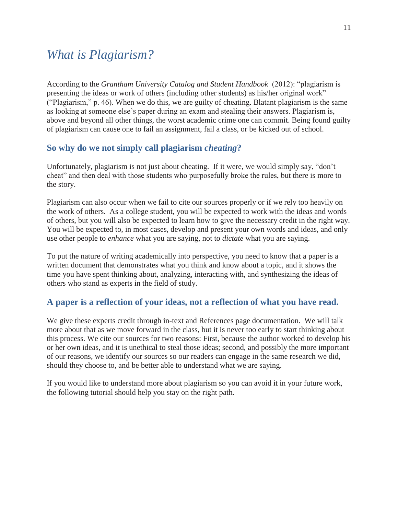### *What is Plagiarism?*

According to the *Grantham University Catalog and Student Handbook* (2012): "plagiarism is presenting the ideas or work of others (including other students) as his/her original work" ("Plagiarism," p. 46). When we do this, we are guilty of cheating. Blatant plagiarism is the same as looking at someone else's paper during an exam and stealing their answers. Plagiarism is, above and beyond all other things, the worst academic crime one can commit. Being found guilty of plagiarism can cause one to fail an assignment, fail a class, or be kicked out of school.

#### **So why do we not simply call plagiarism** *cheating***?**

Unfortunately, plagiarism is not just about cheating. If it were, we would simply say, "don't cheat" and then deal with those students who purposefully broke the rules, but there is more to the story.

Plagiarism can also occur when we fail to cite our sources properly or if we rely too heavily on the work of others. As a college student, you will be expected to work with the ideas and words of others, but you will also be expected to learn how to give the necessary credit in the right way. You will be expected to, in most cases, develop and present your own words and ideas, and only use other people to *enhance* what you are saying, not to *dictate* what you are saying.

To put the nature of writing academically into perspective, you need to know that a paper is a written document that demonstrates what you think and know about a topic, and it shows the time you have spent thinking about, analyzing, interacting with, and synthesizing the ideas of others who stand as experts in the field of study.

#### **A paper is a reflection of your ideas, not a reflection of what you have read.**

We give these experts credit through in-text and References page documentation. We will talk more about that as we move forward in the class, but it is never too early to start thinking about this process. We cite our sources for two reasons: First, because the author worked to develop his or her own ideas, and it is unethical to steal those ideas; second, and possibly the more important of our reasons, we identify our sources so our readers can engage in the same research we did, should they choose to, and be better able to understand what we are saying.

If you would like to understand more about plagiarism so you can avoid it in your future work, the following tutorial should help you stay on the right path.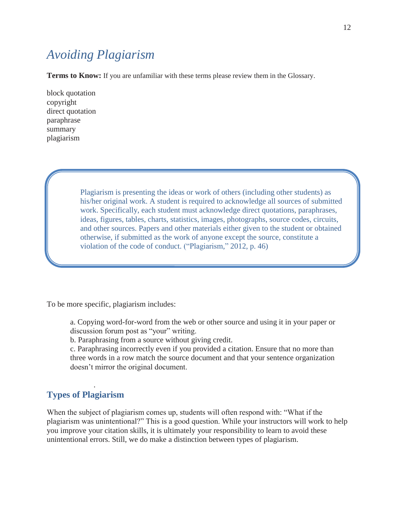## *Avoiding Plagiarism*

**Terms to Know:** If you are unfamiliar with these terms please review them in the Glossary.

block quotation copyright direct quotation paraphrase summary plagiarism

> Plagiarism is presenting the ideas or work of others (including other students) as his/her original work. A student is required to acknowledge all sources of submitted work. Specifically, each student must acknowledge direct quotations, paraphrases, ideas, figures, tables, charts, statistics, images, photographs, source codes, circuits, and other sources. Papers and other materials either given to the student or obtained otherwise, if submitted as the work of anyone except the source, constitute a violation of the code of conduct. ("Plagiarism," 2012, p. 46)

To be more specific, plagiarism includes:

a. Copying word-for-word from the web or other source and using it in your paper or discussion forum post as "your" writing.

b. Paraphrasing from a source without giving credit.

c. Paraphrasing incorrectly even if you provided a citation. Ensure that no more than three words in a row match the source document and that your sentence organization doesn't mirror the original document.

#### **Types of Plagiarism**

.

When the subject of plagiarism comes up, students will often respond with: "What if the plagiarism was unintentional?" This is a good question. While your instructors will work to help you improve your citation skills, it is ultimately your responsibility to learn to avoid these unintentional errors. Still, we do make a distinction between types of plagiarism.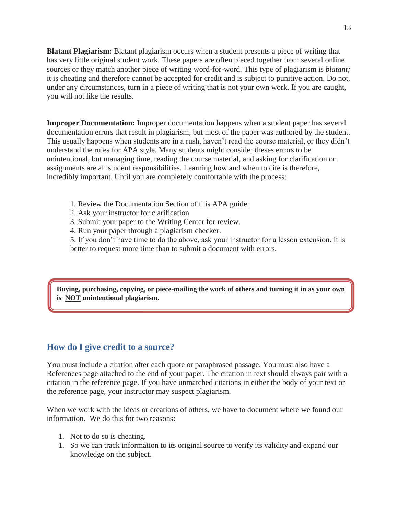**Blatant Plagiarism:** Blatant plagiarism occurs when a student presents a piece of writing that has very little original student work. These papers are often pieced together from several online sources or they match another piece of writing word-for-word. This type of plagiarism is *blatant;*  it is cheating and therefore cannot be accepted for credit and is subject to punitive action. Do not, under any circumstances, turn in a piece of writing that is not your own work. If you are caught, you will not like the results.

**Improper Documentation:** Improper documentation happens when a student paper has several documentation errors that result in plagiarism, but most of the paper was authored by the student. This usually happens when students are in a rush, haven't read the course material, or they didn't understand the rules for APA style. Many students might consider theses errors to be unintentional, but managing time, reading the course material, and asking for clarification on assignments are all student responsibilities. Learning how and when to cite is therefore, incredibly important. Until you are completely comfortable with the process:

- 1. Review the Documentation Section of this APA guide.
- 2. Ask your instructor for clarification
- 3. Submit your paper to the Writing Center for review.
- 4. Run your paper through a plagiarism checker.

5. If you don't have time to do the above, ask your instructor for a lesson extension. It is better to request more time than to submit a document with errors.

**Buying, purchasing, copying, or piece-mailing the work of others and turning it in as your own is NOT unintentional plagiarism.**

#### **How do I give credit to a source?**

You must include a citation after each quote or paraphrased passage. You must also have a References page attached to the end of your paper. The citation in text should always pair with a citation in the reference page. If you have unmatched citations in either the body of your text or the reference page, your instructor may suspect plagiarism.

When we work with the ideas or creations of others, we have to document where we found our information. We do this for two reasons:

- 1. Not to do so is cheating.
- 1. So we can track information to its original source to verify its validity and expand our knowledge on the subject.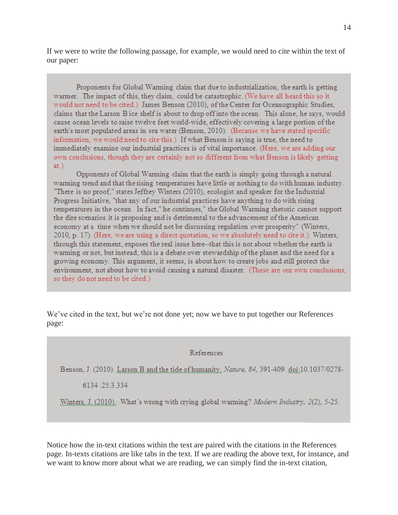If we were to write the following passage, for example, we would need to cite within the text of our paper:

Proponents for Global Warming claim that due to industrialization, the earth is getting warmer. The impact of this, they claim, could be catastrophic. (We have all heard this so it would not need to be cited.) James Benson (2010), of the Center for Oceanographic Studies, claims that the Larson B ice shelf is about to drop off into the ocean. This alone, he says, would cause ocean levels to raise twelve feet world-wide, effectively covering a large portion of the earth's most populated areas in sea water (Benson, 2010). (Because we have stated specific information, we would need to cite this.) If what Benson is saying is true, the need to immediately examine our industrial practices is of vital importance. (Here, we are adding our own conclusions, though they are certainly not so different from what Benson is likely getting  $at.)$ 

Opponents of Global Warming claim that the earth is simply going through a natural warming trend and that the rising temperatures have little or nothing to do with human industry. "There is no proof," states Jeffrey Winters (2010), ecologist and speaker for the Industrial Progress Initiative, "that any of our industrial practices have anything to do with rising temperatures in the ocean. In fact," he continues," the Global Warming rhetoric cannot support the dire scenarios it is proposing and is detrimental to the advancement of the American economy at a time when we should not be discussing regulation over prosperity" (Winters, 2010, p. 17). (Here, we are using a direct quotation, so we absolutely need to cite it.) Winters, through this statement, exposes the real issue here--that this is not about whether the earth is warming or not, but instead, this is a debate over stewardship of the planet and the need for a growing economy. This argument, it seems, is about how to create jobs and still protect the environment, not about how to avoid causing a natural disaster. (These are our own conclusions, so they do not need to be cited.)

We've cited in the text, but we're not done yet; now we have to put together our References page:

#### References

Benson, J. (2010). Larson B and the tide of humanity. Nature, 84, 391-409. doi:10.1037/0278-

6134.25.3.334

Winters, J. (2010). What's wrong with crying global warming? Modern Industry, 2(2), 5-25.

Notice how the in-text citations within the text are paired with the citations in the References page. In-texts citations are like tabs in the text. If we are reading the above text, for instance, and we want to know more about what we are reading, we can simply find the in-text citation,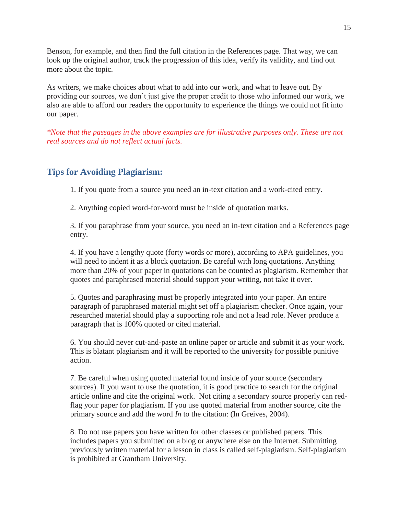Benson, for example, and then find the full citation in the References page. That way, we can look up the original author, track the progression of this idea, verify its validity, and find out more about the topic.

As writers, we make choices about what to add into our work, and what to leave out. By providing our sources, we don't just give the proper credit to those who informed our work, we also are able to afford our readers the opportunity to experience the things we could not fit into our paper.

*\*Note that the passages in the above examples are for illustrative purposes only. These are not real sources and do not reflect actual facts.* 

#### **Tips for Avoiding Plagiarism:**

1. If you quote from a source you need an in-text citation and a work-cited entry.

2. Anything copied word-for-word must be inside of quotation marks.

3. If you paraphrase from your source, you need an in-text citation and a References page entry.

4. If you have a lengthy quote (forty words or more), according to APA guidelines, you will need to indent it as a block quotation. Be careful with long quotations. Anything more than 20% of your paper in quotations can be counted as plagiarism. Remember that quotes and paraphrased material should support your writing, not take it over.

5. Quotes and paraphrasing must be properly integrated into your paper. An entire paragraph of paraphrased material might set off a plagiarism checker. Once again, your researched material should play a supporting role and not a lead role. Never produce a paragraph that is 100% quoted or cited material.

6. You should never cut-and-paste an online paper or article and submit it as your work. This is blatant plagiarism and it will be reported to the university for possible punitive action.

7. Be careful when using quoted material found inside of your source (secondary sources). If you want to use the quotation, it is good practice to search for the original article online and cite the original work. Not citing a secondary source properly can redflag your paper for plagiarism. If you use quoted material from another source, cite the primary source and add the word *In* to the citation: (In Greives, 2004).

8. Do not use papers you have written for other classes or published papers. This includes papers you submitted on a blog or anywhere else on the Internet. Submitting previously written material for a lesson in class is called self-plagiarism. Self-plagiarism is prohibited at Grantham University.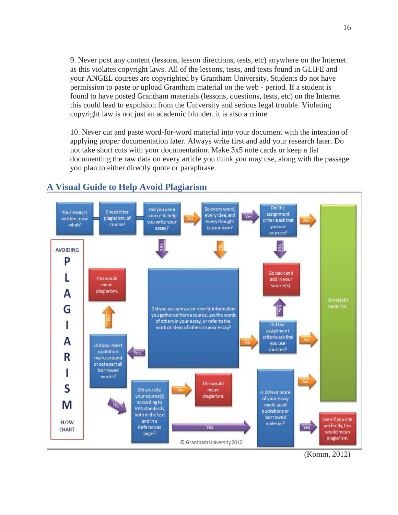9. Never post any content (lessons, lesson directions, tests, etc) anywhere on the Internet as this violates copyright laws. All of the lessons, tests, and texts found in GLIFE and your ANGEL courses are copyrighted by Grantham University. Students do not have permission to paste or upload Grantham material on the web - period. If a student is found to have posted Grantham materials (lessons, questions, tests, etc) on the Internet this could lead to expulsion from the University and serious legal trouble. Violating copyright law is not just an academic blunder, it is also a crime.

10. Never cut and paste word-for-word material into your document with the intention of applying proper documentation later. Always write first and add your research later. Do not take short cuts with your documentation. Make 3x5 note cards or keep a list documenting the raw data on every article you think you may use, along with the passage you plan to either directly quote or paraphrase.



#### **A Visual Guide to Help Avoid Plagiarism**

16

(Komm, 2012)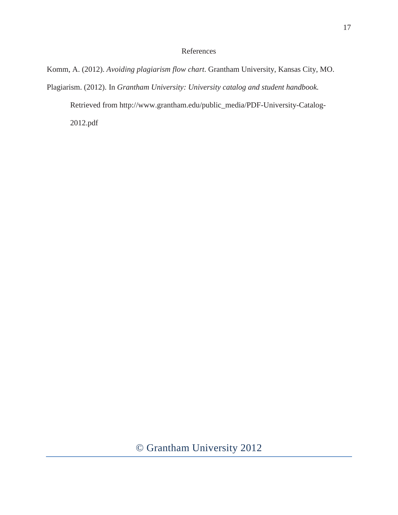#### References

Komm, A. (2012). *Avoiding plagiarism flow chart*. Grantham University, Kansas City, MO.

Plagiarism. (2012). In *Grantham University: University catalog and student handbook.* 

Retrieved from http://www.grantham.edu/public\_media/PDF-University-Catalog-

2012.pdf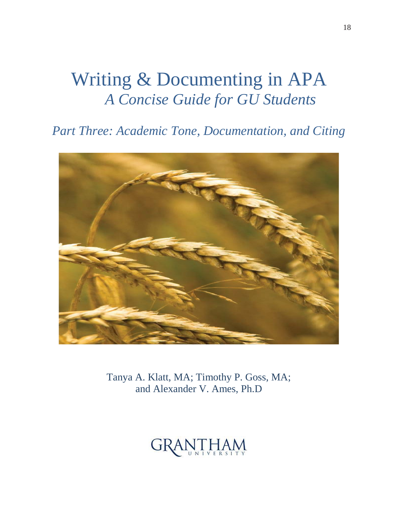## Writing & Documenting in APA *A Concise Guide for GU Students*

*Part Three: Academic Tone, Documentation, and Citing*



Tanya A. Klatt, MA; Timothy P. Goss, MA; and Alexander V. Ames, Ph.D

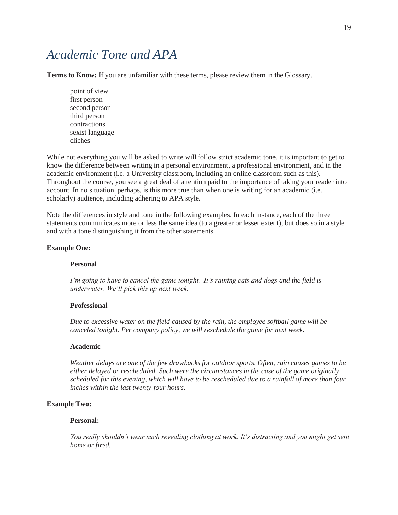### *Academic Tone and APA*

**Terms to Know:** If you are unfamiliar with these terms, please review them in the Glossary.

 point of view first person second person third person contractions sexist language cliches

While not everything you will be asked to write will follow strict academic tone, it is important to get to know the difference between writing in a personal environment, a professional environment, and in the academic environment (i.e. a University classroom, including an online classroom such as this). Throughout the course, you see a great deal of attention paid to the importance of taking your reader into account. In no situation, perhaps, is this more true than when one is writing for an academic (i.e. scholarly) audience, including adhering to APA style.

Note the differences in style and tone in the following examples. In each instance, each of the three statements communicates more or less the same idea (to a greater or lesser extent), but does so in a style and with a tone distinguishing it from the other statements

#### **Example One:**

#### **Personal**

*I'm going to have to cancel the game tonight. It's raining cats and dogs and the field is underwater. We'll pick this up next week.*

#### **Professional**

*Due to excessive water on the field caused by the rain, the employee softball game will be canceled tonight. Per company policy, we will reschedule the game for next week.* 

#### **Academic**

*Weather delays are one of the few drawbacks for outdoor sports. Often, rain causes games to be either delayed or rescheduled. Such were the circumstances in the case of the game originally scheduled for this evening, which will have to be rescheduled due to a rainfall of more than four inches within the last twenty-four hours.* 

#### **Example Two:**

#### **Personal:**

*You really shouldn't wear such revealing clothing at work. It's distracting and you might get sent home or fired.*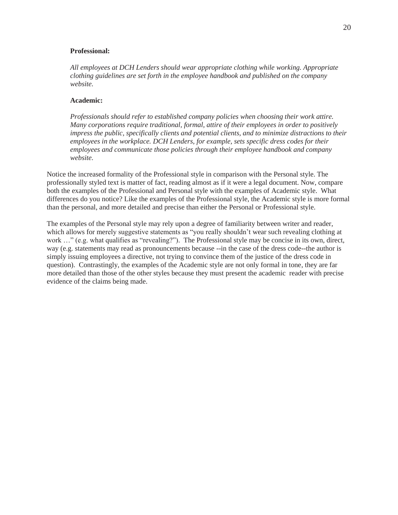#### **Professional:**

*All employees at DCH Lenders should wear appropriate clothing while working. Appropriate clothing guidelines are set forth in the employee handbook and published on the company website.* 

#### **Academic:**

*Professionals should refer to established company policies when choosing their work attire. Many corporations require traditional, formal, attire of their employees in order to positively impress the public, specifically clients and potential clients, and to minimize distractions to their employees in the workplace. DCH Lenders, for example, sets specific dress codes for their employees and communicate those policies through their employee handbook and company website.* 

Notice the increased formality of the Professional style in comparison with the Personal style. The professionally styled text is matter of fact, reading almost as if it were a legal document. Now, compare both the examples of the Professional and Personal style with the examples of Academic style. What differences do you notice? Like the examples of the Professional style, the Academic style is more formal than the personal, and more detailed and precise than either the Personal or Professional style.

The examples of the Personal style may rely upon a degree of familiarity between writer and reader, which allows for merely suggestive statements as "you really shouldn't wear such revealing clothing at work ..." (e.g. what qualifies as "revealing?"). The Professional style may be concise in its own, direct, way (e.g. statements may read as pronouncements because --in the case of the dress code--the author is simply issuing employees a directive, not trying to convince them of the justice of the dress code in question). Contrastingly, the examples of the Academic style are not only formal in tone, they are far more detailed than those of the other styles because they must present the academic reader with precise evidence of the claims being made.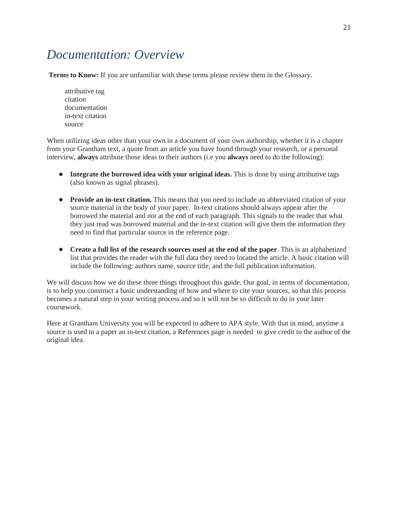## *Documentation: Overview*

**Terms to Know:** If you are unfamiliar with these terms please review them in the Glossary.

 attributive tag citation documentation in-text citation source

When utilizing ideas other than your own in a document of your own authorship, whether it is a chapter from your Grantham text, a quote from an article you have found through your research, or a personal interview, **always** attribute those ideas to their authors (i.e you **always** need to do the following):

- **• Integrate the borrowed idea with your original ideas.** This is done by using attributive tags (also known as signal phrases).
- **Provide an in-text citation.** This means that you need to include an abbreviated citation of your source material in the body of your paper. In-text citations should always appear after the borrowed the material and not at the end of each paragraph. This signals to the reader that what they just read was borrowed material and the in-text citation will give them the information they need to find that particular source in the reference page.
- **Create a full list of the research sources used at the end of the paper**. This is an alphabetized list that provides the reader with the full data they need to located the article. A basic citation will include the following: authors name, source title, and the full publication information.

We will discuss how we do these three things throughout this guide. Our goal, in terms of documentation, is to help you construct a basic understanding of how and where to cite your sources, so that this process becomes a natural step in your writing process and so it will not be so difficult to do in your later coursework.

Here at Grantham University you will be expected to adhere to APA style. With that in mind, anytime a source is used in a paper an in-text citation, a References page is needed to give credit to the author of the original idea.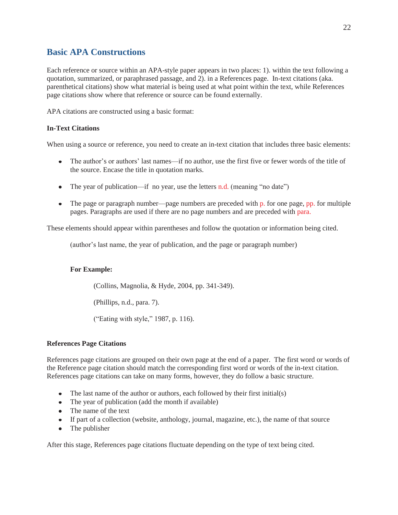#### **Basic APA Constructions**

Each reference or source within an APA-style paper appears in two places: 1). within the text following a quotation, summarized, or paraphrased passage, and 2). in a References page. In-text citations (aka. parenthetical citations) show what material is being used at what point within the text, while References page citations show where that reference or source can be found externally.

APA citations are constructed using a basic format:

#### **In-Text Citations**

When using a source or reference, you need to create an in-text citation that includes three basic elements:

- The author's or authors' last names—if no author, use the first five or fewer words of the title of the source. Encase the title in quotation marks.
- The year of publication—if no year, use the letters n.d. (meaning "no date")
- $\bullet$  The page or paragraph number—page numbers are preceded with  $\mathbf{p}$  for one page,  $\mathbf{p} \mathbf{p}$  for multiple pages. Paragraphs are used if there are no page numbers and are preceded with para.

These elements should appear within parentheses and follow the quotation or information being cited.

(author's last name, the year of publication, and the page or paragraph number)

#### **For Example:**

(Collins, Magnolia, & Hyde, 2004, pp. 341-349).

(Phillips, n.d., para. 7).

("Eating with style," 1987, p. 116).

#### **References Page Citations**

References page citations are grouped on their own page at the end of a paper. The first word or words of the Reference page citation should match the corresponding first word or words of the in-text citation. References page citations can take on many forms, however, they do follow a basic structure.

- The last name of the author or authors, each followed by their first initial(s)
- The year of publication (add the month if available)
- The name of the text
- If part of a collection (website, anthology, journal, magazine, etc.), the name of that source
- $\bullet$ The publisher

After this stage, References page citations fluctuate depending on the type of text being cited.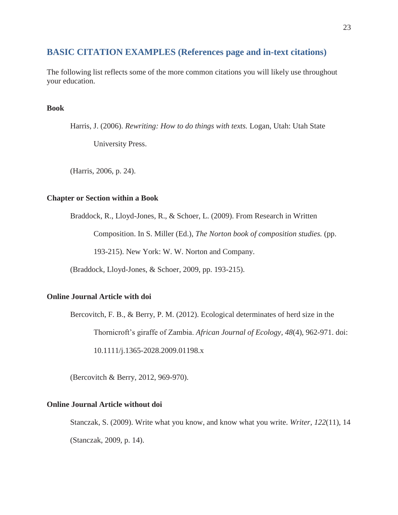#### **BASIC CITATION EXAMPLES (References page and in-text citations)**

The following list reflects some of the more common citations you will likely use throughout your education.

#### **Book**

Harris, J. (2006). *Rewriting: How to do things with texts.* Logan, Utah: Utah State University Press.

(Harris, 2006, p. 24).

#### **Chapter or Section within a Book**

Braddock, R., Lloyd-Jones, R., & Schoer, L. (2009). From Research in Written

Composition. In S. Miller (Ed.), *The Norton book of composition studies.* (pp. 193-215). New York: W. W. Norton and Company.

(Braddock, Lloyd-Jones, & Schoer, 2009, pp. 193-215).

#### **Online Journal Article with doi**

Bercovitch, F. B., & Berry, P. M. (2012). Ecological determinates of herd size in the Thornicroft's giraffe of Zambia. *African Journal of Ecology, 48*(4), 962-971. doi:

10.1111/j.1365-2028.2009.01198.x

(Bercovitch & Berry, 2012, 969-970).

#### **Online Journal Article without doi**

Stanczak, S. (2009). Write what you know, and know what you write. *Writer, 122*(11), 14 (Stanczak, 2009, p. 14).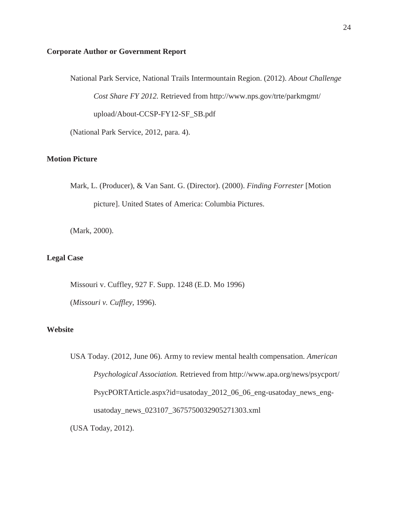#### **Corporate Author or Government Report**

 National Park Service, National Trails Intermountain Region. (2012). *About Challenge Cost Share FY 2012.* Retrieved from http://www.nps.gov/trte/parkmgmt/ upload/About-CCSP-FY12-SF\_SB.pdf

(National Park Service, 2012, para. 4).

#### **Motion Picture**

Mark, L. (Producer), & Van Sant. G. (Director). (2000). *Finding Forrester* [Motion picture]. United States of America: Columbia Pictures.

(Mark, 2000).

#### **Legal Case**

Missouri v. Cuffley, 927 F. Supp. 1248 (E.D. Mo 1996) (*Missouri v. Cuffley,* 1996).

#### **Website**

USA Today. (2012, June 06). Army to review mental health compensation. *American Psychological Association.* Retrieved from http://www.apa.org/news/psycport/ PsycPORTArticle.aspx?id=usatoday\_2012\_06\_06\_eng-usatoday\_news\_engusatoday\_news\_023107\_3675750032905271303.xml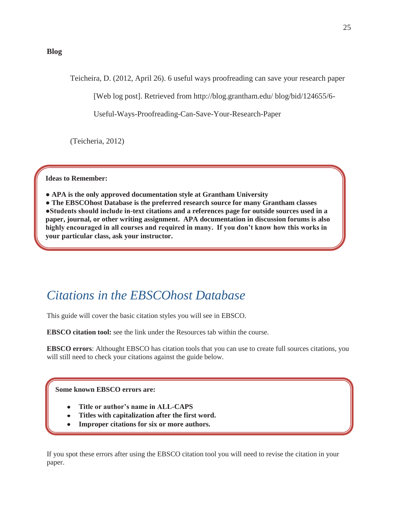#### **Blog**

Teicheira, D. (2012, April 26). 6 useful ways proofreading can save your research paper

[Web log post]. Retrieved from http://blog.grantham.edu/ blog/bid/124655/6-

Useful-Ways-Proofreading-Can-Save-Your-Research-Paper

(Teicheria, 2012)

**Ideas to Remember:** 

**● APA is the only approved documentation style at Grantham University** 

**● The EBSCOhost Database is the preferred research source for many Grantham classes ●Students should include in-text citations and a references page for outside sources used in a paper, journal, or other writing assignment. APA documentation in discussion forums is also highly encouraged in all courses and required in many. If you don't know how this works in your particular class, ask your instructor.** 

### *Citations in the EBSCOhost Database*

This guide will cover the basic citation styles you will see in EBSCO.

**EBSCO citation tool:** see the link under the Resources tab within the course.

**EBSCO errors**: Althought EBSCO has citation tools that you can use to create full sources citations, you will still need to check your citations against the guide below.

**Some known EBSCO errors are:** 

Ņ

- **Title or author's name in ALL-CAPS**
- **Titles with capitalization after the first word.**
- **Improper citations for six or more authors.**

If you spot these errors after using the EBSCO citation tool you will need to revise the citation in your paper.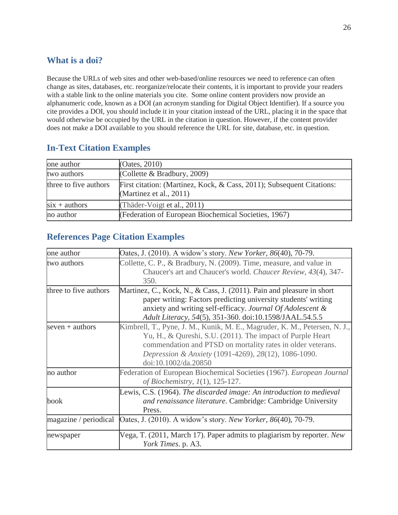#### **What is a doi?**

Because the URLs of web sites and other web-based/online resources we need to reference can often change as sites, databases, etc. reorganize/relocate their contents, it is important to provide your readers with a stable link to the online materials you cite. Some online content providers now provide an alphanumeric code, known as a DOI (an acronym standing for Digital Object Identifier). If a source you cite provides a DOI, you should include it in your citation instead of the URL, placing it in the space that would otherwise be occupied by the URL in the citation in question. However, if the content provider does not make a DOI available to you should reference the URL for site, database, etc. in question.

#### **In-Text Citation Examples**

| one author            | (Oates, 2010)                                                                                       |
|-----------------------|-----------------------------------------------------------------------------------------------------|
| two authors           | (Collette & Bradbury, 2009)                                                                         |
| three to five authors | First citation: (Martinez, Kock, & Cass, 2011); Subsequent Citations:<br>(Martinez et al., $2011$ ) |
| $six + authors$       | (Thäder-Voigt et al., 2011)                                                                         |
| no author             | (Federation of European Biochemical Societies, 1967)                                                |

#### **References Page Citation Examples**

| one author            | Oates, J. (2010). A widow's story. New Yorker, 86(40), 70-79.                                                                                                                                                                                                                           |
|-----------------------|-----------------------------------------------------------------------------------------------------------------------------------------------------------------------------------------------------------------------------------------------------------------------------------------|
| two authors           | Collette, C. P., & Bradbury, N. (2009). Time, measure, and value in<br>Chaucer's art and Chaucer's world. Chaucer Review, 43(4), 347-<br>350.                                                                                                                                           |
| three to five authors | Martinez, C., Kock, N., & Cass, J. (2011). Pain and pleasure in short<br>paper writing: Factors predicting university students' writing<br>anxiety and writing self-efficacy. Journal Of Adolescent &<br>Adult Literacy, 54(5), 351-360. doi:10.1598/JAAL.54.5.5                        |
| seven $+$ authors     | Kimbrell, T., Pyne, J. M., Kunik, M. E., Magruder, K. M., Petersen, N. J.,<br>Yu, H., & Qureshi, S.U. (2011). The impact of Purple Heart<br>commendation and PTSD on mortality rates in older veterans.<br>Depression & Anxiety (1091-4269), 28(12), 1086-1090.<br>doi:10.1002/da.20850 |
| no author             | Federation of European Biochemical Societies (1967). European Journal<br>of Biochemistry, $1(1)$ , 125-127.                                                                                                                                                                             |
| book                  | Lewis, C.S. (1964). The discarded image: An introduction to medieval<br>and renaissance literature. Cambridge: Cambridge University<br>Press.                                                                                                                                           |
| magazine / periodical | Oates, J. (2010). A widow's story. New Yorker, 86(40), 70-79.                                                                                                                                                                                                                           |
| newspaper             | Vega, T. (2011, March 17). Paper admits to plagiarism by reporter. New<br>York Times. p. A3.                                                                                                                                                                                            |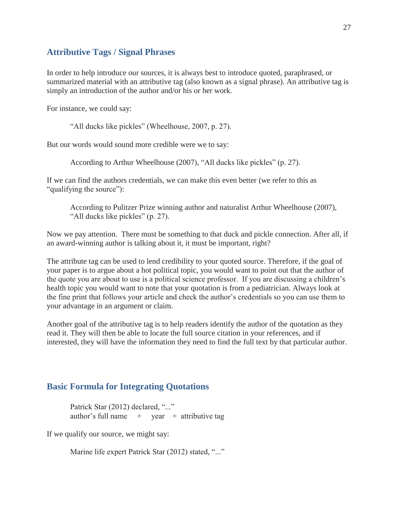#### **Attributive Tags / Signal Phrases**

In order to help introduce our sources, it is always best to introduce quoted, paraphrased, or summarized material with an attributive tag (also known as a signal phrase). An attributive tag is simply an introduction of the author and/or his or her work.

For instance, we could say:

"All ducks like pickles" (Wheelhouse, 2007, p. 27).

But our words would sound more credible were we to say:

According to Arthur Wheelhouse (2007), "All ducks like pickles" (p. 27).

If we can find the authors credentials, we can make this even better (we refer to this as "qualifying the source"):

According to Pulitzer Prize winning author and naturalist Arthur Wheelhouse (2007), "All ducks like pickles" (p. 27).

Now we pay attention. There must be something to that duck and pickle connection. After all, if an award-winning author is talking about it, it must be important, right?

The attribute tag can be used to lend credibility to your quoted source. Therefore, if the goal of your paper is to argue about a hot political topic, you would want to point out that the author of the quote you are about to use is a political science professor. If you are discussing a children's health topic you would want to note that your quotation is from a pediatrician. Always look at the fine print that follows your article and check the author's credentials so you can use them to your advantage in an argument or claim.

Another goal of the attributive tag is to help readers identify the author of the quotation as they read it. They will then be able to locate the full source citation in your references, and if interested, they will have the information they need to find the full text by that particular author.

#### **Basic Formula for Integrating Quotations**

Patrick Star (2012) declared, "..." author's full name  $+$  year  $+$  attributive tag

If we qualify our source, we might say:

Marine life expert Patrick Star (2012) stated, "..."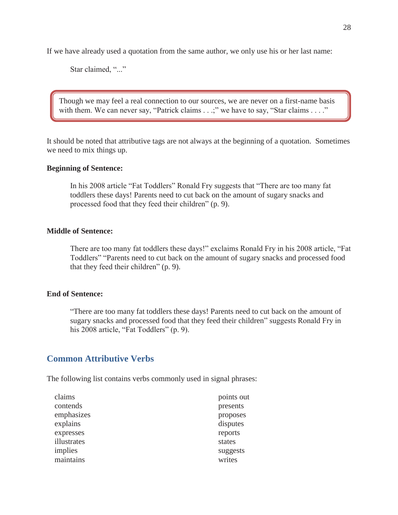If we have already used a quotation from the same author, we only use his or her last name:

Star claimed, "..."

Though we may feel a real connection to our sources, we are never on a first-name basis with them. We can never say, "Patrick claims . . .;" we have to say, "Star claims . . . ."

It should be noted that attributive tags are not always at the beginning of a quotation. Sometimes we need to mix things up.

#### **Beginning of Sentence:**

In his 2008 article "Fat Toddlers" Ronald Fry suggests that "There are too many fat toddlers these days! Parents need to cut back on the amount of sugary snacks and processed food that they feed their children" (p. 9).

#### **Middle of Sentence:**

There are too many fat toddlers these days!" exclaims Ronald Fry in his 2008 article, "Fat Toddlers" "Parents need to cut back on the amount of sugary snacks and processed food that they feed their children" (p. 9).

#### **End of Sentence:**

"There are too many fat toddlers these days! Parents need to cut back on the amount of sugary snacks and processed food that they feed their children" suggests Ronald Fry in his 2008 article, "Fat Toddlers" (p. 9).

#### **Common Attributive Verbs**

The following list contains verbs commonly used in signal phrases:

| points out |
|------------|
| presents   |
| proposes   |
| disputes   |
| reports    |
| states     |
| suggests   |
| writes     |
|            |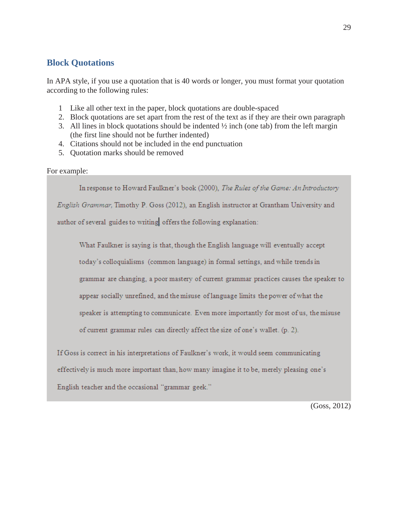#### **Block Quotations**

In APA style, if you use a quotation that is 40 words or longer, you must format your quotation according to the following rules:

- 1 Like all other text in the paper, block quotations are double-spaced
- 2. Block quotations are set apart from the rest of the text as if they are their own paragraph
- 3. All lines in block quotations should be indented  $\frac{1}{2}$  inch (one tab) from the left margin (the first line should not be further indented)
- 4. Citations should not be included in the end punctuation
- 5. Quotation marks should be removed

#### For example:

In response to Howard Faulkner's book (2000), The Rules of the Game: An Introductory English Grammar, Timothy P. Goss (2012), an English instructor at Grantham University and author of several guides to writing offers the following explanation:

What Faulkner is saying is that, though the English language will eventually accept today's colloquialisms (common language) in formal settings, and while trends in grammar are changing, a poor mastery of current grammar practices causes the speaker to appear socially unrefined, and the misuse of language limits the power of what the speaker is attempting to communicate. Even more importantly for most of us, the misuse of current grammar rules can directly affect the size of one's wallet. (p. 2).

If Goss is correct in his interpretations of Faulkner's work, it would seem communicating effectively is much more important than, how many imagine it to be, merely pleasing one's

English teacher and the occasional "grammar geek."

(Goss, 2012)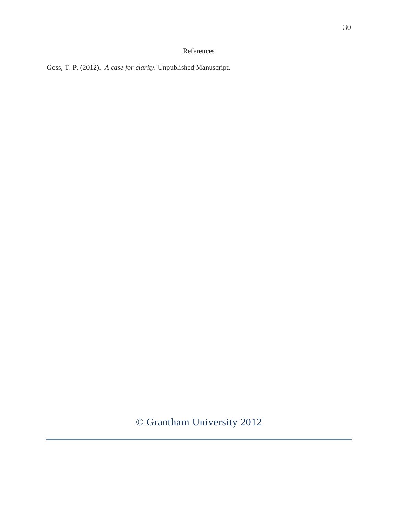#### References

Goss, T. P. (2012). *A case for clarity*. Unpublished Manuscript.

© Grantham University 2012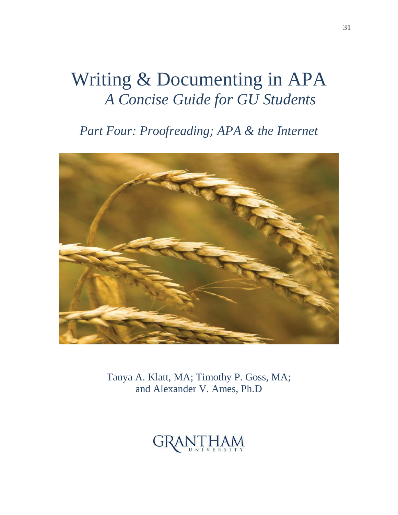## Writing & Documenting in APA *A Concise Guide for GU Students*

*Part Four: Proofreading; APA & the Internet* 



Tanya A. Klatt, MA; Timothy P. Goss, MA; and Alexander V. Ames, Ph.D

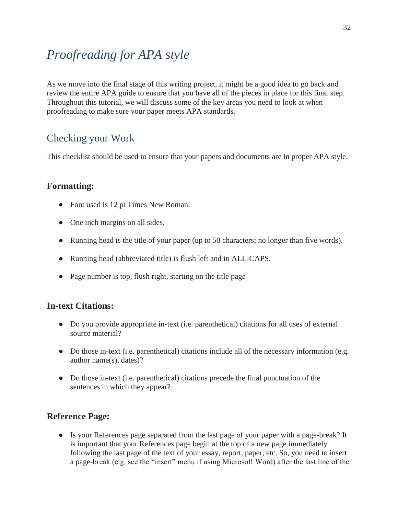## *Proofreading for APA style*

As we move into the final stage of this writing project, it might be a good idea to go back and review the entire APA guide to ensure that you have all of the pieces in place for this final step. Throughout this tutorial, we will discuss some of the key areas you need to look at when proofreading to make sure your paper meets APA standards.

### Checking your Work

This checklist should be used to ensure that your papers and documents are in proper APA style.

#### **Formatting:**

- Font used is 12 pt Times New Roman.
- One inch margins on all sides.
- Running head is the title of your paper (up to 50 characters; no longer than five words).
- Running head (abbreviated title) is flush left and in ALL-CAPS.
- Page number is top, flush right, starting on the title page

#### **In-text Citations:**

- **●** Do you provide appropriate in-text (i.e. parenthetical) citations for all uses of external source material?
- Do those in-text (i.e. parenthetical) citations include all of the necessary information (e.g. author name(s), dates)?
- **●** Do those in-text (i.e. parenthetical) citations precede the final punctuation of the sentences in which they appear?

#### **Reference Page:**

**●** Is your References page separated from the last page of your paper with a page-break? It is important that your References page begin at the top of a new page immediately following the last page of the text of your essay, report, paper, etc. So, you need to insert a page-break (e.g. see the "insert" menu if using Microsoft Word) after the last line of the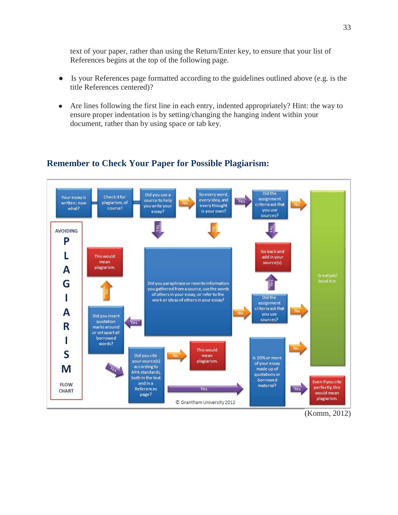text of your paper, rather than using the Return/Enter key, to ensure that your list of References begins at the top of the following page.

- **●** Is your References page formatted according to the guidelines outlined above (e.g. is the title References centered)?
- Are lines following the first line in each entry, indented appropriately? Hint: the way to  $\bullet$ ensure proper indentation is by setting/changing the hanging indent within your document, rather than by using space or tab key.

#### Did the So every word, Did you use a **Check it for** Your essay is assignment source to help every idea, and Yes written; now plagiarism, of riteria ask that every thought you write your course! what? vou use is your own? essay? .<br>sources? kes **AVOIDING** P Go back and L This would add in your mean source(s). A plagiarism Greatjob!<br>Senditin. G Did you paraphrase or rewrite information you gathered from a source, use the words of others in your essay, or refer to the I Did the work or ideas of others in your essay? assignment criteria ask that A you use Did you insert sources? quotation Yes R marks around or set apart all borrowed I words? This would S Did you cite mean Is 20% or more your source(s) plagiarism. of your essay according to M made up of APA standards, quotations or both in the text borrowed Even if you cite and in a **FLOW** material? perfectly, this References Yes Yes **CHART** would mean page? plagiarism. © Grantham University 2012

#### **Remember to Check Your Paper for Possible Plagiarism:**

(Komm, 2012)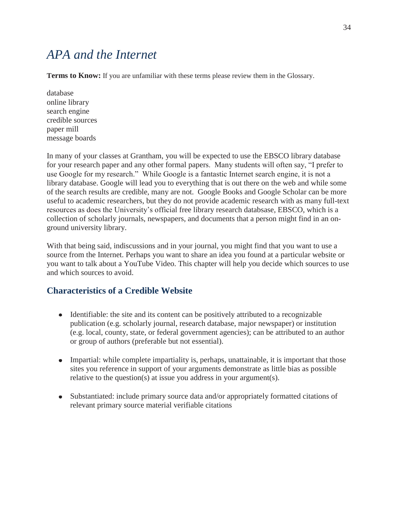## *APA and the Internet*

**Terms to Know:** If you are unfamiliar with these terms please review them in the Glossary.

database online library search engine credible sources paper mill message boards

In many of your classes at Grantham, you will be expected to use the EBSCO library database for your research paper and any other formal papers. Many students will often say, "I prefer to use Google for my research." While Google is a fantastic Internet search engine, it is not a library database. Google will lead you to everything that is out there on the web and while some of the search results are credible, many are not. Google Books and Google Scholar can be more useful to academic researchers, but they do not provide academic research with as many full-text resources as does the University's official free library research databsase, EBSCO, which is a collection of scholarly journals, newspapers, and documents that a person might find in an onground university library.

With that being said, indiscussions and in your journal, you might find that you want to use a source from the Internet. Perhaps you want to share an idea you found at a particular website or you want to talk about a YouTube Video. This chapter will help you decide which sources to use and which sources to avoid.

#### **Characteristics of a Credible Website**

- Identifiable: the site and its content can be positively attributed to a recognizable publication (e.g. scholarly journal, research database, major newspaper) or institution (e.g. local, county, state, or federal government agencies); can be attributed to an author or group of authors (preferable but not essential).
- Impartial: while complete impartiality is, perhaps, unattainable, it is important that those sites you reference in support of your arguments demonstrate as little bias as possible relative to the question(s) at issue you address in your argument(s).
- Substantiated: include primary source data and/or appropriately formatted citations of  $\bullet$ relevant primary source material verifiable citations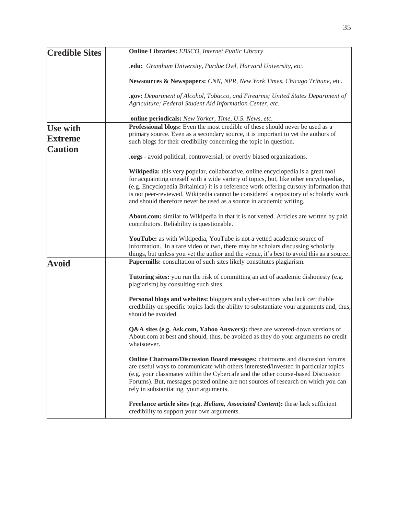|                       | <b>Online Libraries:</b> EBSCO, Internet Public Library                                                                                                                                                                                                                                                                                                                                                                            |
|-----------------------|------------------------------------------------------------------------------------------------------------------------------------------------------------------------------------------------------------------------------------------------------------------------------------------------------------------------------------------------------------------------------------------------------------------------------------|
| <b>Credible Sites</b> |                                                                                                                                                                                                                                                                                                                                                                                                                                    |
|                       | .edu: Grantham University, Purdue Owl, Harvard University, etc.                                                                                                                                                                                                                                                                                                                                                                    |
|                       | Newsources & Newspapers: CNN, NPR, New York Times, Chicago Tribune, etc.                                                                                                                                                                                                                                                                                                                                                           |
|                       | .gov: Department of Alcohol, Tobacco, and Firearms; United States Department of<br>Agriculture; Federal Student Aid Information Center, etc.                                                                                                                                                                                                                                                                                       |
|                       | online periodicals: New Yorker, Time, U.S. News, etc.                                                                                                                                                                                                                                                                                                                                                                              |
| <b>Use with</b>       | Professional blogs: Even the most credible of these should never be used as a                                                                                                                                                                                                                                                                                                                                                      |
|                       | primary source. Even as a secondary source, it is important to vet the authors of                                                                                                                                                                                                                                                                                                                                                  |
| <b>Extreme</b>        | such blogs for their credibility concerning the topic in question.                                                                                                                                                                                                                                                                                                                                                                 |
| <b>Caution</b>        | .orgs - avoid political, controversial, or overtly biased organizations.                                                                                                                                                                                                                                                                                                                                                           |
|                       | Wikipedia: this very popular, collaborative, online encyclopedia is a great tool<br>for acquainting oneself with a wide variety of topics, but, like other encyclopedias,<br>(e.g. Encyclopedia Britainica) it is a reference work offering cursory information that<br>is not peer-reviewed. Wikipedia cannot be considered a repository of scholarly work<br>and should therefore never be used as a source in academic writing. |
|                       | About.com: similar to Wikipedia in that it is not vetted. Articles are written by paid<br>contributors. Reliability is questionable.                                                                                                                                                                                                                                                                                               |
|                       | YouTube: as with Wikipedia, YouTube is not a vetted academic source of<br>information. In a rare video or two, there may be scholars discussing scholarly<br>things, but unless you vet the author and the venue, it's best to avoid this as a source.                                                                                                                                                                             |
| <b>Avoid</b>          | Papermills: consultation of such sites likely constitutes plagiarism.                                                                                                                                                                                                                                                                                                                                                              |
|                       | Tutoring sites: you run the risk of committing an act of academic dishonesty (e.g.<br>plagiarism) by consulting such sites.                                                                                                                                                                                                                                                                                                        |
|                       | Personal blogs and websites: bloggers and cyber-authors who lack certifiable<br>credibility on specific topics lack the ability to substantiate your arguments and, thus,<br>should be avoided.                                                                                                                                                                                                                                    |
|                       | Q&A sites (e.g. Ask.com, Yahoo Answers): these are watered-down versions of<br>About.com at best and should, thus, be avoided as they do your arguments no credit<br>whatsoever.                                                                                                                                                                                                                                                   |
|                       | Online Chatroom/Discussion Board messages: chatrooms and discussion forums<br>are useful ways to communicate with others interested/invested in particular topics<br>(e.g. your classmates within the Cybercafe and the other course-based Discussion<br>Forums). But, messages posted online are not sources of research on which you can<br>rely in substantiating your arguments.                                               |
|                       | Freelance article sites (e.g. Helium, Associated Content): these lack sufficient<br>credibility to support your own arguments.                                                                                                                                                                                                                                                                                                     |